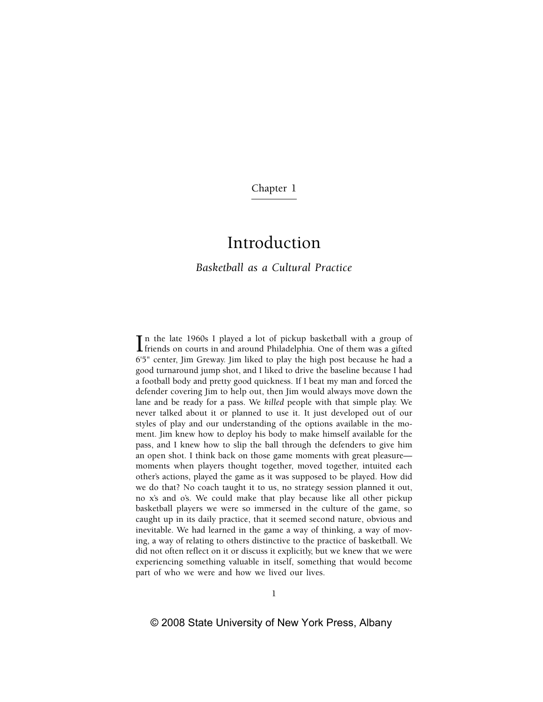Chapter 1

# Introduction

# *Basketball as a Cultural Practice*

In the late 1960s I played a lot of pickup basketball with a group of<br>friends on courts in and around Philadelphia. One of them was a gifted<br> $\epsilon$ friends on courts in and around Philadelphia. One of them was a gifted 6'5" center, Jim Greway. Jim liked to play the high post because he had a good turnaround jump shot, and I liked to drive the baseline because I had a football body and pretty good quickness. If I beat my man and forced the defender covering Jim to help out, then Jim would always move down the lane and be ready for a pass. We *killed* people with that simple play. We never talked about it or planned to use it. It just developed out of our styles of play and our understanding of the options available in the moment. Jim knew how to deploy his body to make himself available for the pass, and I knew how to slip the ball through the defenders to give him an open shot. I think back on those game moments with great pleasure moments when players thought together, moved together, intuited each other's actions, played the game as it was supposed to be played. How did we do that? No coach taught it to us, no strategy session planned it out, no x's and o's. We could make that play because like all other pickup basketball players we were so immersed in the culture of the game, so caught up in its daily practice, that it seemed second nature, obvious and inevitable. We had learned in the game a way of thinking, a way of moving, a way of relating to others distinctive to the practice of basketball. We did not often reflect on it or discuss it explicitly, but we knew that we were experiencing something valuable in itself, something that would become part of who we were and how we lived our lives.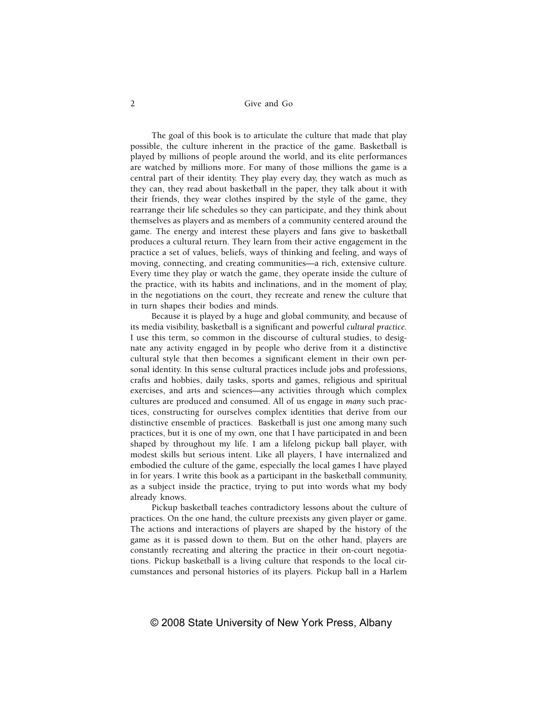# 2 Give and Go

The goal of this book is to articulate the culture that made that play possible, the culture inherent in the practice of the game. Basketball is played by millions of people around the world, and its elite performances are watched by millions more. For many of those millions the game is a central part of their identity. They play every day, they watch as much as they can, they read about basketball in the paper, they talk about it with their friends, they wear clothes inspired by the style of the game, they rearrange their life schedules so they can participate, and they think about themselves as players and as members of a community centered around the game. The energy and interest these players and fans give to basketball produces a cultural return. They learn from their active engagement in the practice a set of values, beliefs, ways of thinking and feeling, and ways of moving, connecting, and creating communities—a rich, extensive culture. Every time they play or watch the game, they operate inside the culture of the practice, with its habits and inclinations, and in the moment of play, in the negotiations on the court, they recreate and renew the culture that in turn shapes their bodies and minds.

Because it is played by a huge and global community, and because of its media visibility, basketball is a significant and powerful *cultural practice.* I use this term, so common in the discourse of cultural studies, to designate any activity engaged in by people who derive from it a distinctive cultural style that then becomes a significant element in their own personal identity. In this sense cultural practices include jobs and professions, crafts and hobbies, daily tasks, sports and games, religious and spiritual exercises, and arts and sciences—any activities through which complex cultures are produced and consumed. All of us engage in *many* such practices, constructing for ourselves complex identities that derive from our distinctive ensemble of practices. Basketball is just one among many such practices, but it is one of my own, one that I have participated in and been shaped by throughout my life. I am a lifelong pickup ball player, with modest skills but serious intent. Like all players, I have internalized and embodied the culture of the game, especially the local games I have played in for years. I write this book as a participant in the basketball community, as a subject inside the practice, trying to put into words what my body already knows.

Pickup basketball teaches contradictory lessons about the culture of practices. On the one hand, the culture preexists any given player or game. The actions and interactions of players are shaped by the history of the game as it is passed down to them. But on the other hand, players are constantly recreating and altering the practice in their on-court negotiations. Pickup basketball is a living culture that responds to the local circumstances and personal histories of its players. Pickup ball in a Harlem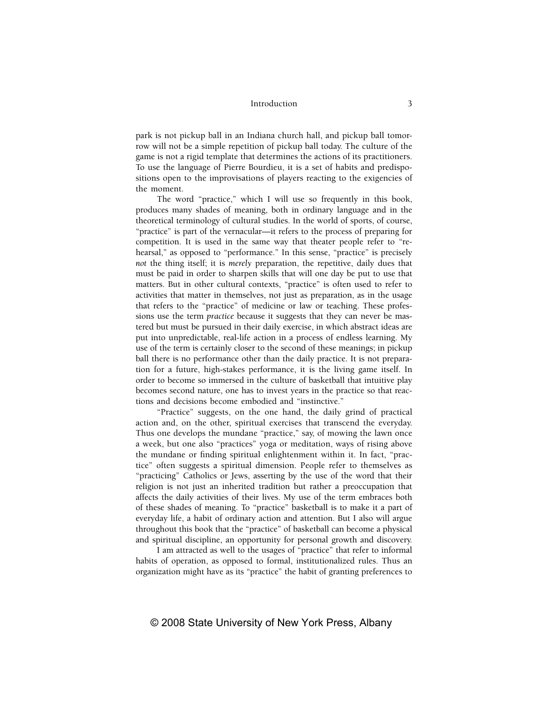park is not pickup ball in an Indiana church hall, and pickup ball tomorrow will not be a simple repetition of pickup ball today. The culture of the game is not a rigid template that determines the actions of its practitioners. To use the language of Pierre Bourdieu, it is a set of habits and predispositions open to the improvisations of players reacting to the exigencies of the moment.

The word "practice," which I will use so frequently in this book, produces many shades of meaning, both in ordinary language and in the theoretical terminology of cultural studies. In the world of sports, of course, "practice" is part of the vernacular—it refers to the process of preparing for competition. It is used in the same way that theater people refer to "rehearsal," as opposed to "performance." In this sense, "practice" is precisely *not* the thing itself; it is *merely* preparation, the repetitive, daily dues that must be paid in order to sharpen skills that will one day be put to use that matters. But in other cultural contexts, "practice" is often used to refer to activities that matter in themselves, not just as preparation, as in the usage that refers to the "practice" of medicine or law or teaching. These professions use the term *practice* because it suggests that they can never be mastered but must be pursued in their daily exercise, in which abstract ideas are put into unpredictable, real-life action in a process of endless learning. My use of the term is certainly closer to the second of these meanings; in pickup ball there is no performance other than the daily practice. It is not preparation for a future, high-stakes performance, it is the living game itself. In order to become so immersed in the culture of basketball that intuitive play becomes second nature, one has to invest years in the practice so that reactions and decisions become embodied and "instinctive."

"Practice" suggests, on the one hand, the daily grind of practical action and, on the other, spiritual exercises that transcend the everyday. Thus one develops the mundane "practice," say, of mowing the lawn once a week, but one also "practices" yoga or meditation, ways of rising above the mundane or finding spiritual enlightenment within it. In fact, "practice" often suggests a spiritual dimension. People refer to themselves as "practicing" Catholics or Jews, asserting by the use of the word that their religion is not just an inherited tradition but rather a preoccupation that affects the daily activities of their lives. My use of the term embraces both of these shades of meaning. To "practice" basketball is to make it a part of everyday life, a habit of ordinary action and attention. But I also will argue throughout this book that the "practice" of basketball can become a physical and spiritual discipline, an opportunity for personal growth and discovery.

I am attracted as well to the usages of "practice" that refer to informal habits of operation, as opposed to formal, institutionalized rules. Thus an organization might have as its "practice" the habit of granting preferences to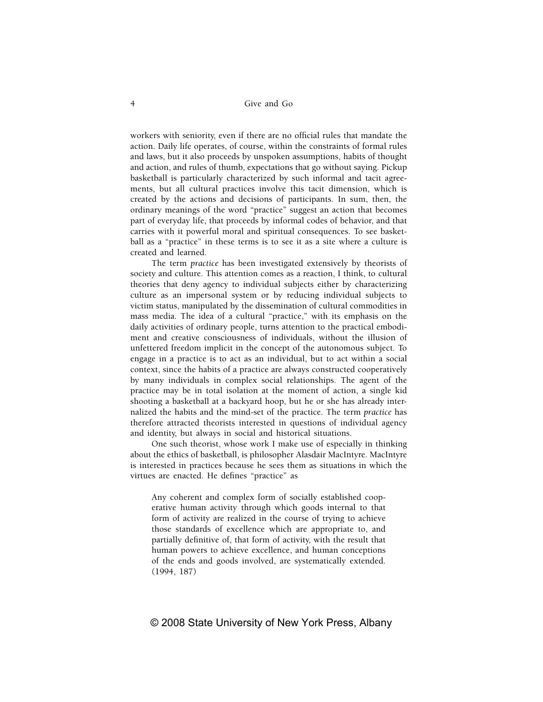workers with seniority, even if there are no official rules that mandate the action. Daily life operates, of course, within the constraints of formal rules and laws, but it also proceeds by unspoken assumptions, habits of thought and action, and rules of thumb, expectations that go without saying. Pickup basketball is particularly characterized by such informal and tacit agreements, but all cultural practices involve this tacit dimension, which is created by the actions and decisions of participants. In sum, then, the ordinary meanings of the word "practice" suggest an action that becomes part of everyday life, that proceeds by informal codes of behavior, and that carries with it powerful moral and spiritual consequences. To see basketball as a "practice" in these terms is to see it as a site where a culture is created and learned.

The term *practice* has been investigated extensively by theorists of society and culture. This attention comes as a reaction, I think, to cultural theories that deny agency to individual subjects either by characterizing culture as an impersonal system or by reducing individual subjects to victim status, manipulated by the dissemination of cultural commodities in mass media. The idea of a cultural "practice," with its emphasis on the daily activities of ordinary people, turns attention to the practical embodiment and creative consciousness of individuals, without the illusion of unfettered freedom implicit in the concept of the autonomous subject. To engage in a practice is to act as an individual, but to act within a social context, since the habits of a practice are always constructed cooperatively by many individuals in complex social relationships. The agent of the practice may be in total isolation at the moment of action, a single kid shooting a basketball at a backyard hoop, but he or she has already internalized the habits and the mind-set of the practice. The term *practice* has therefore attracted theorists interested in questions of individual agency and identity, but always in social and historical situations.

One such theorist, whose work I make use of especially in thinking about the ethics of basketball, is philosopher Alasdair MacIntyre. MacIntyre is interested in practices because he sees them as situations in which the virtues are enacted. He defines "practice" as

Any coherent and complex form of socially established cooperative human activity through which goods internal to that form of activity are realized in the course of trying to achieve those standards of excellence which are appropriate to, and partially definitive of, that form of activity, with the result that human powers to achieve excellence, and human conceptions of the ends and goods involved, are systematically extended. (1994, 187)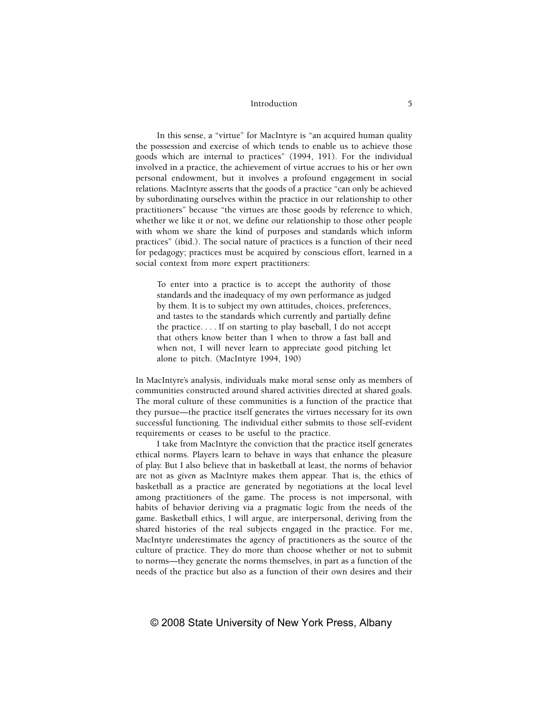In this sense, a "virtue" for MacIntyre is "an acquired human quality the possession and exercise of which tends to enable us to achieve those goods which are internal to practices" (1994, 191). For the individual involved in a practice, the achievement of virtue accrues to his or her own personal endowment, but it involves a profound engagement in social relations. MacIntyre asserts that the goods of a practice "can only be achieved by subordinating ourselves within the practice in our relationship to other practitioners" because "the virtues are those goods by reference to which, whether we like it or not, we define our relationship to those other people with whom we share the kind of purposes and standards which inform practices" (ibid.). The social nature of practices is a function of their need for pedagogy; practices must be acquired by conscious effort, learned in a social context from more expert practitioners:

To enter into a practice is to accept the authority of those standards and the inadequacy of my own performance as judged by them. It is to subject my own attitudes, choices, preferences, and tastes to the standards which currently and partially define the practice. . . . If on starting to play baseball, I do not accept that others know better than I when to throw a fast ball and when not, I will never learn to appreciate good pitching let alone to pitch. (MacIntyre 1994, 190)

In MacIntyre's analysis, individuals make moral sense only as members of communities constructed around shared activities directed at shared goals. The moral culture of these communities is a function of the practice that they pursue—the practice itself generates the virtues necessary for its own successful functioning. The individual either submits to those self-evident requirements or ceases to be useful to the practice.

I take from MacIntyre the conviction that the practice itself generates ethical norms. Players learn to behave in ways that enhance the pleasure of play. But I also believe that in basketball at least, the norms of behavior are not as *given* as MacIntyre makes them appear. That is, the ethics of basketball as a practice are generated by negotiations at the local level among practitioners of the game. The process is not impersonal, with habits of behavior deriving via a pragmatic logic from the needs of the game. Basketball ethics, I will argue, are interpersonal, deriving from the shared histories of the real subjects engaged in the practice. For me, MacIntyre underestimates the agency of practitioners as the source of the culture of practice. They do more than choose whether or not to submit to norms—they generate the norms themselves, in part as a function of the needs of the practice but also as a function of their own desires and their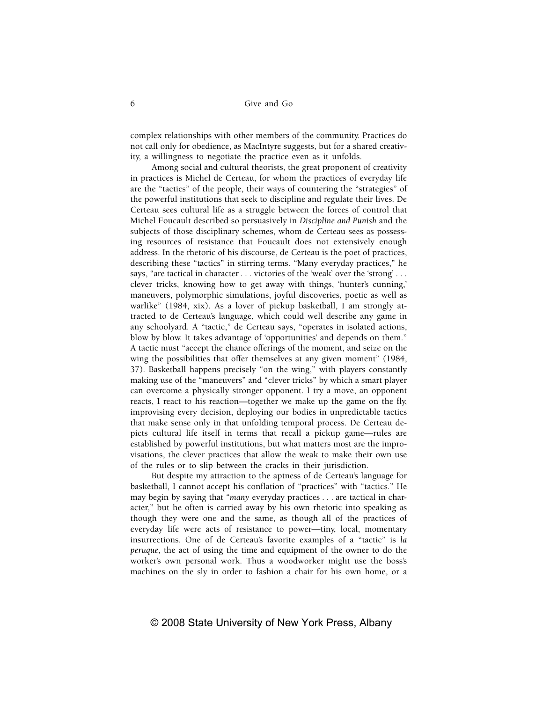complex relationships with other members of the community. Practices do not call only for obedience, as MacIntyre suggests, but for a shared creativity, a willingness to negotiate the practice even as it unfolds.

Among social and cultural theorists, the great proponent of creativity in practices is Michel de Certeau, for whom the practices of everyday life are the "tactics" of the people, their ways of countering the "strategies" of the powerful institutions that seek to discipline and regulate their lives. De Certeau sees cultural life as a struggle between the forces of control that Michel Foucault described so persuasively in *Discipline and Punish* and the subjects of those disciplinary schemes, whom de Certeau sees as possessing resources of resistance that Foucault does not extensively enough address. In the rhetoric of his discourse, de Certeau is the poet of practices, describing these "tactics" in stirring terms. "Many everyday practices," he says, "are tactical in character . . . victories of the 'weak' over the 'strong' . . . clever tricks, knowing how to get away with things, 'hunter's cunning,' maneuvers, polymorphic simulations, joyful discoveries, poetic as well as warlike" (1984, xix). As a lover of pickup basketball, I am strongly attracted to de Certeau's language, which could well describe any game in any schoolyard. A "tactic," de Certeau says, "operates in isolated actions, blow by blow. It takes advantage of 'opportunities' and depends on them." A tactic must "accept the chance offerings of the moment, and seize on the wing the possibilities that offer themselves at any given moment" (1984, 37). Basketball happens precisely "on the wing," with players constantly making use of the "maneuvers" and "clever tricks" by which a smart player can overcome a physically stronger opponent. I try a move, an opponent reacts, I react to his reaction—together we make up the game on the fly, improvising every decision, deploying our bodies in unpredictable tactics that make sense only in that unfolding temporal process. De Certeau depicts cultural life itself in terms that recall a pickup game—rules are established by powerful institutions, but what matters most are the improvisations, the clever practices that allow the weak to make their own use of the rules or to slip between the cracks in their jurisdiction.

But despite my attraction to the aptness of de Certeau's language for basketball, I cannot accept his conflation of "practices" with "tactics." He may begin by saying that "*many* everyday practices . . . are tactical in character," but he often is carried away by his own rhetoric into speaking as though they were one and the same, as though all of the practices of everyday life were acts of resistance to power—tiny, local, momentary insurrections. One of de Certeau's favorite examples of a "tactic" is *la peruque*, the act of using the time and equipment of the owner to do the worker's own personal work. Thus a woodworker might use the boss's machines on the sly in order to fashion a chair for his own home, or a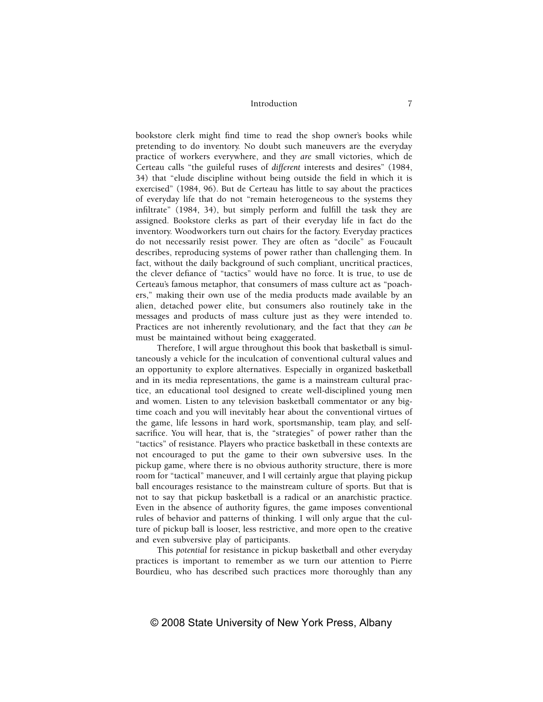bookstore clerk might find time to read the shop owner's books while pretending to do inventory. No doubt such maneuvers are the everyday practice of workers everywhere, and they *are* small victories, which de Certeau calls "the guileful ruses of *different* interests and desires" (1984, 34) that "elude discipline without being outside the field in which it is exercised" (1984, 96). But de Certeau has little to say about the practices of everyday life that do not "remain heterogeneous to the systems they infiltrate" (1984, 34), but simply perform and fulfill the task they are assigned. Bookstore clerks as part of their everyday life in fact do the inventory. Woodworkers turn out chairs for the factory. Everyday practices do not necessarily resist power. They are often as "docile" as Foucault describes, reproducing systems of power rather than challenging them. In fact, without the daily background of such compliant, uncritical practices, the clever defiance of "tactics" would have no force. It is true, to use de Certeau's famous metaphor, that consumers of mass culture act as "poachers," making their own use of the media products made available by an alien, detached power elite, but consumers also routinely take in the messages and products of mass culture just as they were intended to. Practices are not inherently revolutionary, and the fact that they *can be* must be maintained without being exaggerated.

Therefore, I will argue throughout this book that basketball is simultaneously a vehicle for the inculcation of conventional cultural values and an opportunity to explore alternatives. Especially in organized basketball and in its media representations, the game is a mainstream cultural practice, an educational tool designed to create well-disciplined young men and women. Listen to any television basketball commentator or any bigtime coach and you will inevitably hear about the conventional virtues of the game, life lessons in hard work, sportsmanship, team play, and selfsacrifice. You will hear, that is, the "strategies" of power rather than the "tactics" of resistance. Players who practice basketball in these contexts are not encouraged to put the game to their own subversive uses. In the pickup game, where there is no obvious authority structure, there is more room for "tactical" maneuver, and I will certainly argue that playing pickup ball encourages resistance to the mainstream culture of sports. But that is not to say that pickup basketball is a radical or an anarchistic practice. Even in the absence of authority figures, the game imposes conventional rules of behavior and patterns of thinking. I will only argue that the culture of pickup ball is looser, less restrictive, and more open to the creative and even subversive play of participants.

This *potential* for resistance in pickup basketball and other everyday practices is important to remember as we turn our attention to Pierre Bourdieu, who has described such practices more thoroughly than any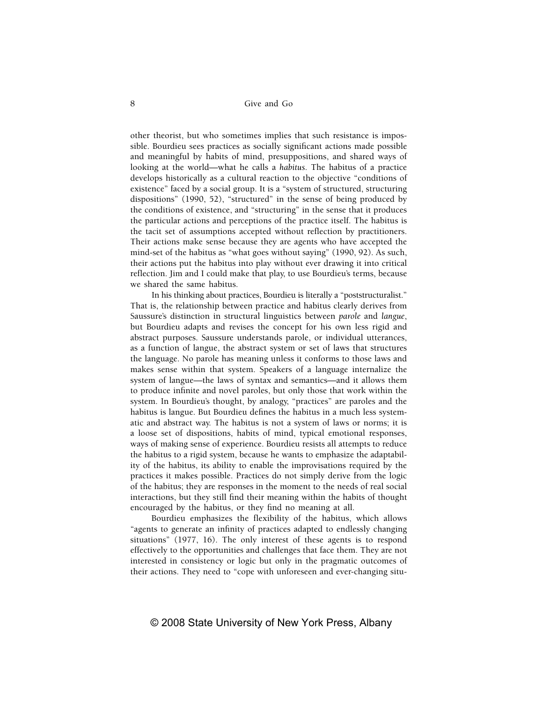other theorist, but who sometimes implies that such resistance is impossible. Bourdieu sees practices as socially significant actions made possible and meaningful by habits of mind, presuppositions, and shared ways of looking at the world—what he calls a *habitus*. The habitus of a practice develops historically as a cultural reaction to the objective "conditions of existence" faced by a social group. It is a "system of structured, structuring dispositions" (1990, 52), "structured" in the sense of being produced by the conditions of existence, and "structuring" in the sense that it produces the particular actions and perceptions of the practice itself. The habitus is the tacit set of assumptions accepted without reflection by practitioners. Their actions make sense because they are agents who have accepted the mind-set of the habitus as "what goes without saying" (1990, 92). As such, their actions put the habitus into play without ever drawing it into critical reflection. Jim and I could make that play, to use Bourdieu's terms, because we shared the same habitus.

In his thinking about practices, Bourdieu is literally a "poststructuralist." That is, the relationship between practice and habitus clearly derives from Saussure's distinction in structural linguistics between *parole* and *langue*, but Bourdieu adapts and revises the concept for his own less rigid and abstract purposes. Saussure understands parole, or individual utterances, as a function of langue, the abstract system or set of laws that structures the language. No parole has meaning unless it conforms to those laws and makes sense within that system. Speakers of a language internalize the system of langue—the laws of syntax and semantics—and it allows them to produce infinite and novel paroles, but only those that work within the system. In Bourdieu's thought, by analogy, "practices" are paroles and the habitus is langue. But Bourdieu defines the habitus in a much less systematic and abstract way. The habitus is not a system of laws or norms; it is a loose set of dispositions, habits of mind, typical emotional responses, ways of making sense of experience. Bourdieu resists all attempts to reduce the habitus to a rigid system, because he wants to emphasize the adaptability of the habitus, its ability to enable the improvisations required by the practices it makes possible. Practices do not simply derive from the logic of the habitus; they are responses in the moment to the needs of real social interactions, but they still find their meaning within the habits of thought encouraged by the habitus, or they find no meaning at all.

Bourdieu emphasizes the flexibility of the habitus, which allows "agents to generate an infinity of practices adapted to endlessly changing situations" (1977, 16). The only interest of these agents is to respond effectively to the opportunities and challenges that face them. They are not interested in consistency or logic but only in the pragmatic outcomes of their actions. They need to "cope with unforeseen and ever-changing situ-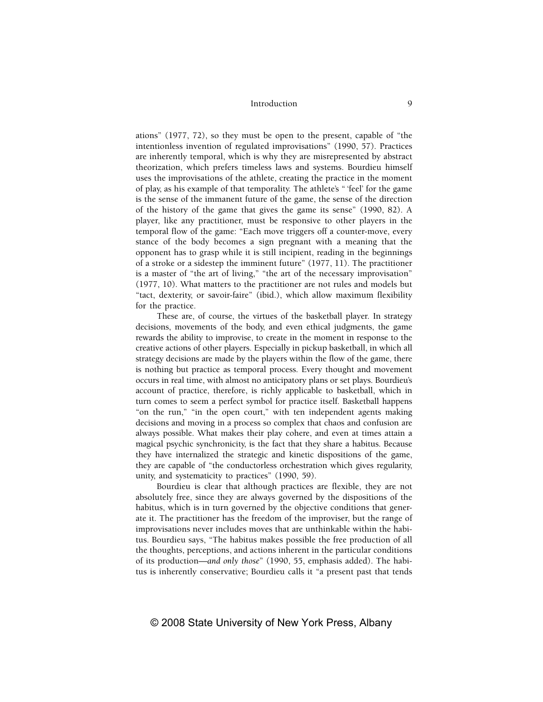ations" (1977, 72), so they must be open to the present, capable of "the intentionless invention of regulated improvisations" (1990, 57). Practices are inherently temporal, which is why they are misrepresented by abstract theorization, which prefers timeless laws and systems. Bourdieu himself uses the improvisations of the athlete, creating the practice in the moment of play, as his example of that temporality. The athlete's " 'feel' for the game is the sense of the immanent future of the game, the sense of the direction of the history of the game that gives the game its sense" (1990, 82). A player, like any practitioner, must be responsive to other players in the temporal flow of the game: "Each move triggers off a counter-move, every stance of the body becomes a sign pregnant with a meaning that the opponent has to grasp while it is still incipient, reading in the beginnings of a stroke or a sidestep the imminent future" (1977, 11). The practitioner is a master of "the art of living," "the art of the necessary improvisation" (1977, 10). What matters to the practitioner are not rules and models but "tact, dexterity, or savoir-faire" (ibid.), which allow maximum flexibility for the practice.

These are, of course, the virtues of the basketball player. In strategy decisions, movements of the body, and even ethical judgments, the game rewards the ability to improvise, to create in the moment in response to the creative actions of other players. Especially in pickup basketball, in which all strategy decisions are made by the players within the flow of the game, there is nothing but practice as temporal process. Every thought and movement occurs in real time, with almost no anticipatory plans or set plays. Bourdieu's account of practice, therefore, is richly applicable to basketball, which in turn comes to seem a perfect symbol for practice itself. Basketball happens "on the run," "in the open court," with ten independent agents making decisions and moving in a process so complex that chaos and confusion are always possible. What makes their play cohere, and even at times attain a magical psychic synchronicity, is the fact that they share a habitus. Because they have internalized the strategic and kinetic dispositions of the game, they are capable of "the conductorless orchestration which gives regularity, unity, and systematicity to practices" (1990, 59).

Bourdieu is clear that although practices are flexible, they are not absolutely free, since they are always governed by the dispositions of the habitus, which is in turn governed by the objective conditions that generate it. The practitioner has the freedom of the improviser, but the range of improvisations never includes moves that are unthinkable within the habitus. Bourdieu says, "The habitus makes possible the free production of all the thoughts, perceptions, and actions inherent in the particular conditions of its production—*and only those*" (1990, 55, emphasis added). The habitus is inherently conservative; Bourdieu calls it "a present past that tends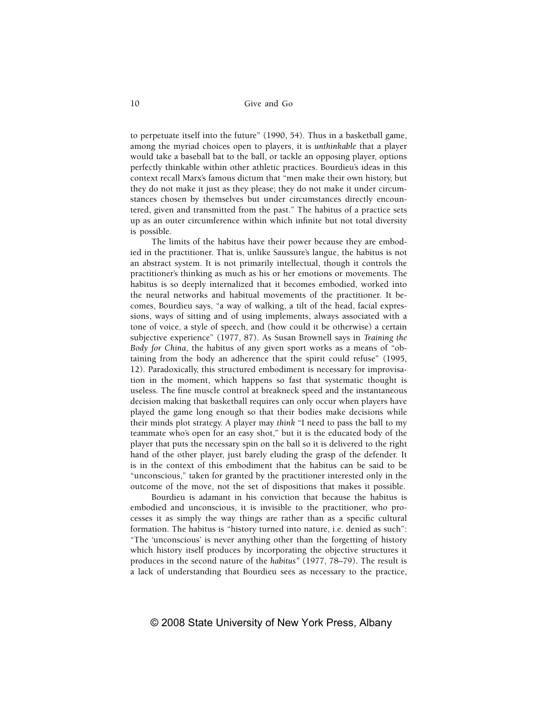to perpetuate itself into the future" (1990, 54). Thus in a basketball game, among the myriad choices open to players, it is *unthinkable* that a player would take a baseball bat to the ball, or tackle an opposing player, options perfectly thinkable within other athletic practices. Bourdieu's ideas in this context recall Marx's famous dictum that "men make their own history, but they do not make it just as they please; they do not make it under circumstances chosen by themselves but under circumstances directly encountered, given and transmitted from the past." The habitus of a practice sets up as an outer circumference within which infinite but not total diversity is possible.

The limits of the habitus have their power because they are embodied in the practitioner. That is, unlike Saussure's langue, the habitus is not an abstract system. It is not primarily intellectual, though it controls the practitioner's thinking as much as his or her emotions or movements. The habitus is so deeply internalized that it becomes embodied, worked into the neural networks and habitual movements of the practitioner. It becomes, Bourdieu says, "a way of walking, a tilt of the head, facial expressions, ways of sitting and of using implements, always associated with a tone of voice, a style of speech, and (how could it be otherwise) a certain subjective experience" (1977, 87). As Susan Brownell says in *Training the Body for China*, the habitus of any given sport works as a means of "obtaining from the body an adherence that the spirit could refuse" (1995, 12). Paradoxically, this structured embodiment is necessary for improvisation in the moment, which happens so fast that systematic thought is useless. The fine muscle control at breakneck speed and the instantaneous decision making that basketball requires can only occur when players have played the game long enough so that their bodies make decisions while their minds plot strategy. A player may *think* "I need to pass the ball to my teammate who's open for an easy shot," but it is the educated body of the player that puts the necessary spin on the ball so it is delivered to the right hand of the other player, just barely eluding the grasp of the defender. It is in the context of this embodiment that the habitus can be said to be "unconscious," taken for granted by the practitioner interested only in the outcome of the move, not the set of dispositions that makes it possible.

Bourdieu is adamant in his conviction that because the habitus is embodied and unconscious, it is invisible to the practitioner, who processes it as simply the way things are rather than as a specific cultural formation. The habitus is "history turned into nature, i.e. denied as such": "The 'unconscious' is never anything other than the forgetting of history which history itself produces by incorporating the objective structures it produces in the second nature of the *habitus"* (1977, 78–79). The result is a lack of understanding that Bourdieu sees as necessary to the practice,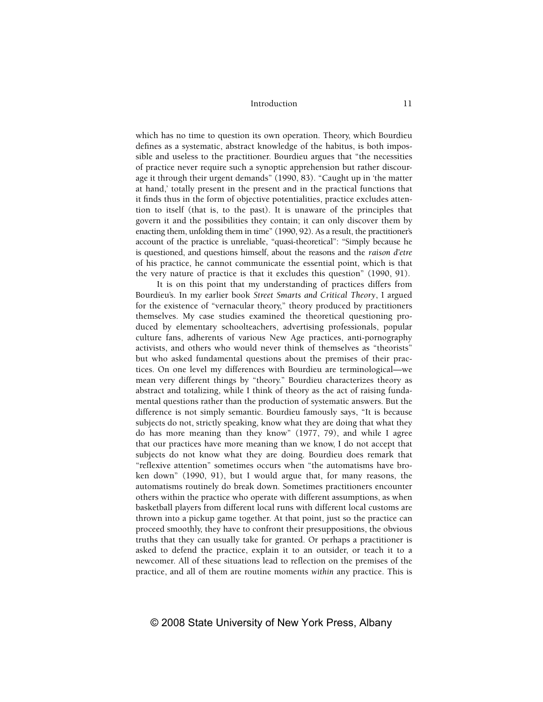which has no time to question its own operation. Theory, which Bourdieu defines as a systematic, abstract knowledge of the habitus, is both impossible and useless to the practitioner. Bourdieu argues that "the necessities of practice never require such a synoptic apprehension but rather discourage it through their urgent demands" (1990, 83). "Caught up in 'the matter at hand,' totally present in the present and in the practical functions that it finds thus in the form of objective potentialities, practice excludes attention to itself (that is, to the past). It is unaware of the principles that govern it and the possibilities they contain; it can only discover them by enacting them, unfolding them in time" (1990, 92). As a result, the practitioner's account of the practice is unreliable, "quasi-theoretical": "Simply because he is questioned, and questions himself, about the reasons and the *raison d'etre* of his practice, he cannot communicate the essential point, which is that the very nature of practice is that it excludes this question" (1990, 91).

It is on this point that my understanding of practices differs from Bourdieu's. In my earlier book *Street Smarts and Critical Theory*, I argued for the existence of "vernacular theory," theory produced by practitioners themselves. My case studies examined the theoretical questioning produced by elementary schoolteachers, advertising professionals, popular culture fans, adherents of various New Age practices, anti-pornography activists, and others who would never think of themselves as "theorists" but who asked fundamental questions about the premises of their practices. On one level my differences with Bourdieu are terminological—we mean very different things by "theory." Bourdieu characterizes theory as abstract and totalizing, while I think of theory as the act of raising fundamental questions rather than the production of systematic answers. But the difference is not simply semantic. Bourdieu famously says, "It is because subjects do not, strictly speaking, know what they are doing that what they do has more meaning than they know" (1977, 79), and while I agree that our practices have more meaning than we know, I do not accept that subjects do not know what they are doing. Bourdieu does remark that "reflexive attention" sometimes occurs when "the automatisms have broken down" (1990, 91), but I would argue that, for many reasons, the automatisms routinely do break down. Sometimes practitioners encounter others within the practice who operate with different assumptions, as when basketball players from different local runs with different local customs are thrown into a pickup game together. At that point, just so the practice can proceed smoothly, they have to confront their presuppositions, the obvious truths that they can usually take for granted. Or perhaps a practitioner is asked to defend the practice, explain it to an outsider, or teach it to a newcomer. All of these situations lead to reflection on the premises of the practice, and all of them are routine moments *within* any practice. This is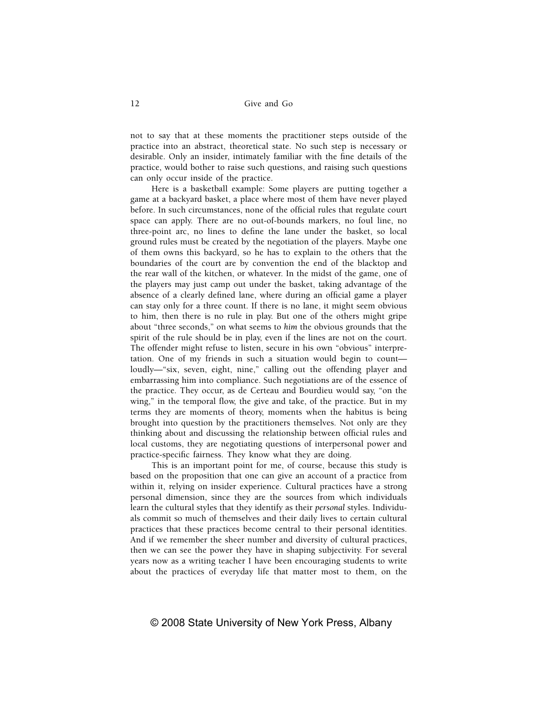not to say that at these moments the practitioner steps outside of the practice into an abstract, theoretical state. No such step is necessary or desirable. Only an insider, intimately familiar with the fine details of the practice, would bother to raise such questions, and raising such questions can only occur inside of the practice.

Here is a basketball example: Some players are putting together a game at a backyard basket, a place where most of them have never played before. In such circumstances, none of the official rules that regulate court space can apply. There are no out-of-bounds markers, no foul line, no three-point arc, no lines to define the lane under the basket, so local ground rules must be created by the negotiation of the players. Maybe one of them owns this backyard, so he has to explain to the others that the boundaries of the court are by convention the end of the blacktop and the rear wall of the kitchen, or whatever. In the midst of the game, one of the players may just camp out under the basket, taking advantage of the absence of a clearly defined lane, where during an official game a player can stay only for a three count. If there is no lane, it might seem obvious to him, then there is no rule in play. But one of the others might gripe about "three seconds," on what seems to *him* the obvious grounds that the spirit of the rule should be in play, even if the lines are not on the court. The offender might refuse to listen, secure in his own "obvious" interpretation. One of my friends in such a situation would begin to count loudly—"six, seven, eight, nine," calling out the offending player and embarrassing him into compliance. Such negotiations are of the essence of the practice. They occur, as de Certeau and Bourdieu would say, "on the wing," in the temporal flow, the give and take, of the practice. But in my terms they are moments of theory, moments when the habitus is being brought into question by the practitioners themselves. Not only are they thinking about and discussing the relationship between official rules and local customs, they are negotiating questions of interpersonal power and practice-specific fairness. They know what they are doing.

This is an important point for me, of course, because this study is based on the proposition that one can give an account of a practice from within it, relying on insider experience. Cultural practices have a strong personal dimension, since they are the sources from which individuals learn the cultural styles that they identify as their *personal* styles. Individuals commit so much of themselves and their daily lives to certain cultural practices that these practices become central to their personal identities. And if we remember the sheer number and diversity of cultural practices, then we can see the power they have in shaping subjectivity. For several years now as a writing teacher I have been encouraging students to write about the practices of everyday life that matter most to them, on the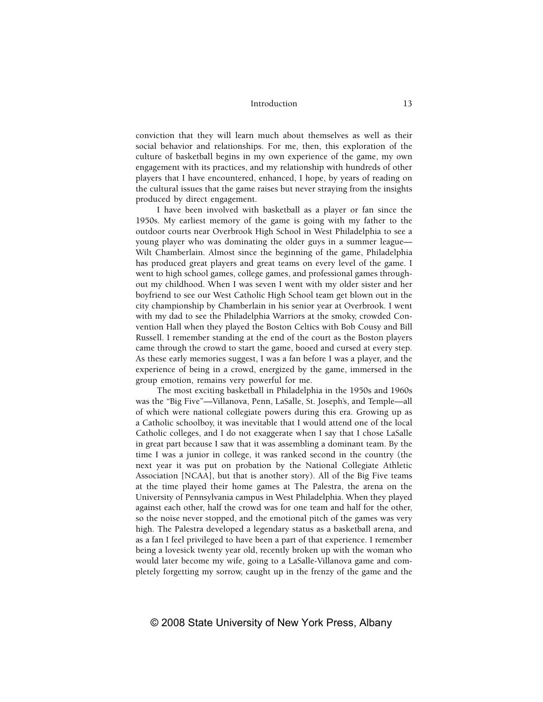conviction that they will learn much about themselves as well as their social behavior and relationships. For me, then, this exploration of the culture of basketball begins in my own experience of the game, my own engagement with its practices, and my relationship with hundreds of other players that I have encountered, enhanced, I hope, by years of reading on the cultural issues that the game raises but never straying from the insights produced by direct engagement.

I have been involved with basketball as a player or fan since the 1950s. My earliest memory of the game is going with my father to the outdoor courts near Overbrook High School in West Philadelphia to see a young player who was dominating the older guys in a summer league— Wilt Chamberlain. Almost since the beginning of the game, Philadelphia has produced great players and great teams on every level of the game. I went to high school games, college games, and professional games throughout my childhood. When I was seven I went with my older sister and her boyfriend to see our West Catholic High School team get blown out in the city championship by Chamberlain in his senior year at Overbrook. I went with my dad to see the Philadelphia Warriors at the smoky, crowded Convention Hall when they played the Boston Celtics with Bob Cousy and Bill Russell. I remember standing at the end of the court as the Boston players came through the crowd to start the game, booed and cursed at every step. As these early memories suggest, I was a fan before I was a player, and the experience of being in a crowd, energized by the game, immersed in the group emotion, remains very powerful for me.

The most exciting basketball in Philadelphia in the 1950s and 1960s was the "Big Five"—Villanova, Penn, LaSalle, St. Joseph's, and Temple—all of which were national collegiate powers during this era. Growing up as a Catholic schoolboy, it was inevitable that I would attend one of the local Catholic colleges, and I do not exaggerate when I say that I chose LaSalle in great part because I saw that it was assembling a dominant team. By the time I was a junior in college, it was ranked second in the country (the next year it was put on probation by the National Collegiate Athletic Association [NCAA], but that is another story). All of the Big Five teams at the time played their home games at The Palestra, the arena on the University of Pennsylvania campus in West Philadelphia. When they played against each other, half the crowd was for one team and half for the other, so the noise never stopped, and the emotional pitch of the games was very high. The Palestra developed a legendary status as a basketball arena, and as a fan I feel privileged to have been a part of that experience. I remember being a lovesick twenty year old, recently broken up with the woman who would later become my wife, going to a LaSalle-Villanova game and completely forgetting my sorrow, caught up in the frenzy of the game and the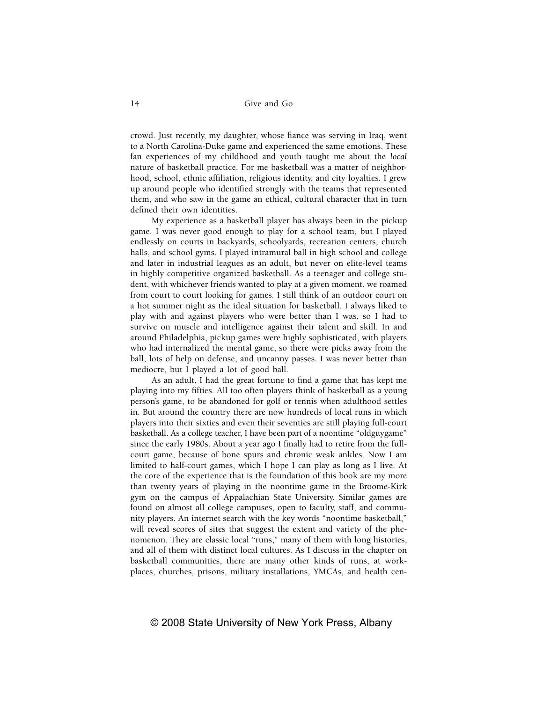crowd. Just recently, my daughter, whose fiance was serving in Iraq, went to a North Carolina-Duke game and experienced the same emotions. These fan experiences of my childhood and youth taught me about the *local* nature of basketball practice. For me basketball was a matter of neighborhood, school, ethnic affiliation, religious identity, and city loyalties. I grew up around people who identified strongly with the teams that represented them, and who saw in the game an ethical, cultural character that in turn defined their own identities.

My experience as a basketball player has always been in the pickup game. I was never good enough to play for a school team, but I played endlessly on courts in backyards, schoolyards, recreation centers, church halls, and school gyms. I played intramural ball in high school and college and later in industrial leagues as an adult, but never on elite-level teams in highly competitive organized basketball. As a teenager and college student, with whichever friends wanted to play at a given moment, we roamed from court to court looking for games. I still think of an outdoor court on a hot summer night as the ideal situation for basketball. I always liked to play with and against players who were better than I was, so I had to survive on muscle and intelligence against their talent and skill. In and around Philadelphia, pickup games were highly sophisticated, with players who had internalized the mental game, so there were picks away from the ball, lots of help on defense, and uncanny passes. I was never better than mediocre, but I played a lot of good ball.

As an adult, I had the great fortune to find a game that has kept me playing into my fifties. All too often players think of basketball as a young person's game, to be abandoned for golf or tennis when adulthood settles in. But around the country there are now hundreds of local runs in which players into their sixties and even their seventies are still playing full-court basketball. As a college teacher, I have been part of a noontime "oldguygame" since the early 1980s. About a year ago I finally had to retire from the fullcourt game, because of bone spurs and chronic weak ankles. Now I am limited to half-court games, which I hope I can play as long as I live. At the core of the experience that is the foundation of this book are my more than twenty years of playing in the noontime game in the Broome-Kirk gym on the campus of Appalachian State University. Similar games are found on almost all college campuses, open to faculty, staff, and community players. An internet search with the key words "noontime basketball," will reveal scores of sites that suggest the extent and variety of the phenomenon. They are classic local "runs," many of them with long histories, and all of them with distinct local cultures. As I discuss in the chapter on basketball communities, there are many other kinds of runs, at workplaces, churches, prisons, military installations, YMCAs, and health cen-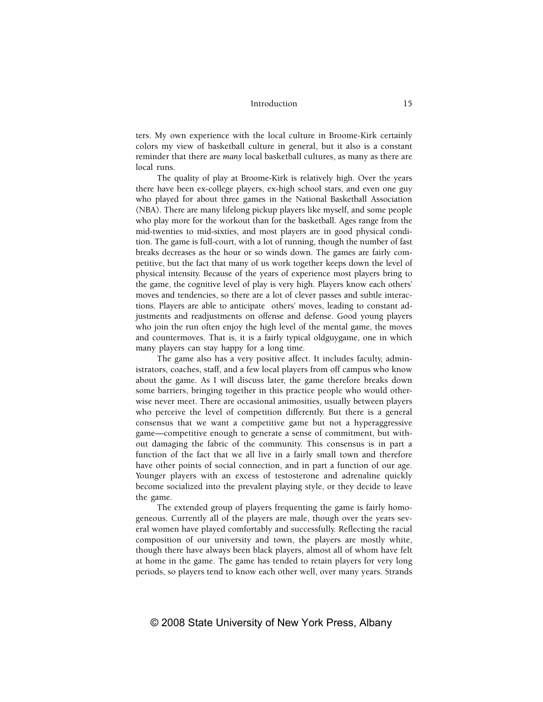ters. My own experience with the local culture in Broome-Kirk certainly colors my view of basketball culture in general, but it also is a constant reminder that there are *many* local basketball cultures, as many as there are local runs.

The quality of play at Broome-Kirk is relatively high. Over the years there have been ex-college players, ex-high school stars, and even one guy who played for about three games in the National Basketball Association (NBA). There are many lifelong pickup players like myself, and some people who play more for the workout than for the basketball. Ages range from the mid-twenties to mid-sixties, and most players are in good physical condition. The game is full-court, with a lot of running, though the number of fast breaks decreases as the hour or so winds down. The games are fairly competitive, but the fact that many of us work together keeps down the level of physical intensity. Because of the years of experience most players bring to the game, the cognitive level of play is very high. Players know each others' moves and tendencies, so there are a lot of clever passes and subtle interactions. Players are able to anticipate others' moves, leading to constant adjustments and readjustments on offense and defense. Good young players who join the run often enjoy the high level of the mental game, the moves and countermoves. That is, it is a fairly typical oldguygame, one in which many players can stay happy for a long time.

The game also has a very positive affect. It includes faculty, administrators, coaches, staff, and a few local players from off campus who know about the game. As I will discuss later, the game therefore breaks down some barriers, bringing together in this practice people who would otherwise never meet. There are occasional animosities, usually between players who perceive the level of competition differently. But there is a general consensus that we want a competitive game but not a hyperaggressive game—competitive enough to generate a sense of commitment, but without damaging the fabric of the community. This consensus is in part a function of the fact that we all live in a fairly small town and therefore have other points of social connection, and in part a function of our age. Younger players with an excess of testosterone and adrenaline quickly become socialized into the prevalent playing style, or they decide to leave the game.

The extended group of players frequenting the game is fairly homogeneous. Currently all of the players are male, though over the years several women have played comfortably and successfully. Reflecting the racial composition of our university and town, the players are mostly white, though there have always been black players, almost all of whom have felt at home in the game. The game has tended to retain players for very long periods, so players tend to know each other well, over many years. Strands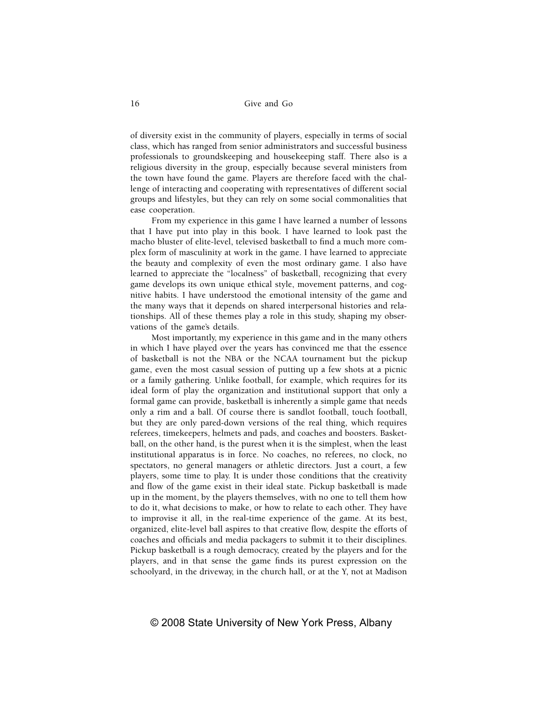of diversity exist in the community of players, especially in terms of social class, which has ranged from senior administrators and successful business professionals to groundskeeping and housekeeping staff. There also is a religious diversity in the group, especially because several ministers from the town have found the game. Players are therefore faced with the challenge of interacting and cooperating with representatives of different social groups and lifestyles, but they can rely on some social commonalities that ease cooperation.

From my experience in this game I have learned a number of lessons that I have put into play in this book. I have learned to look past the macho bluster of elite-level, televised basketball to find a much more complex form of masculinity at work in the game. I have learned to appreciate the beauty and complexity of even the most ordinary game. I also have learned to appreciate the "localness" of basketball, recognizing that every game develops its own unique ethical style, movement patterns, and cognitive habits. I have understood the emotional intensity of the game and the many ways that it depends on shared interpersonal histories and relationships. All of these themes play a role in this study, shaping my observations of the game's details.

Most importantly, my experience in this game and in the many others in which I have played over the years has convinced me that the essence of basketball is not the NBA or the NCAA tournament but the pickup game, even the most casual session of putting up a few shots at a picnic or a family gathering. Unlike football, for example, which requires for its ideal form of play the organization and institutional support that only a formal game can provide, basketball is inherently a simple game that needs only a rim and a ball. Of course there is sandlot football, touch football, but they are only pared-down versions of the real thing, which requires referees, timekeepers, helmets and pads, and coaches and boosters. Basketball, on the other hand, is the purest when it is the simplest, when the least institutional apparatus is in force. No coaches, no referees, no clock, no spectators, no general managers or athletic directors. Just a court, a few players, some time to play. It is under those conditions that the creativity and flow of the game exist in their ideal state. Pickup basketball is made up in the moment, by the players themselves, with no one to tell them how to do it, what decisions to make, or how to relate to each other. They have to improvise it all, in the real-time experience of the game. At its best, organized, elite-level ball aspires to that creative flow, despite the efforts of coaches and officials and media packagers to submit it to their disciplines. Pickup basketball is a rough democracy, created by the players and for the players, and in that sense the game finds its purest expression on the schoolyard, in the driveway, in the church hall, or at the Y, not at Madison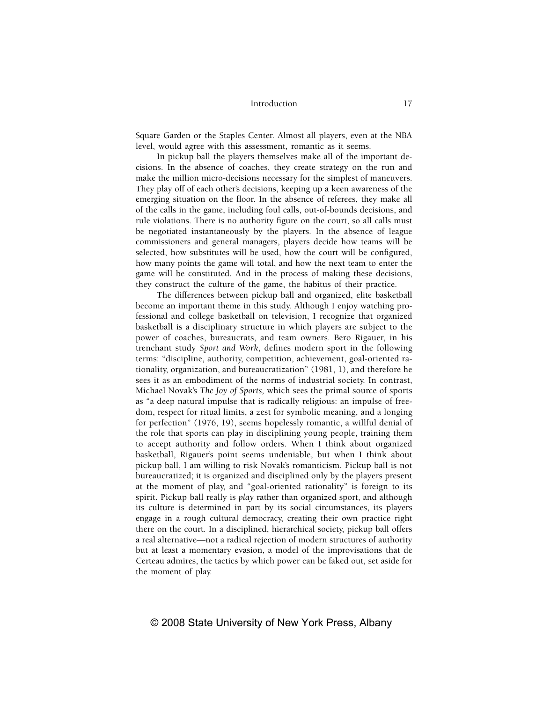Square Garden or the Staples Center. Almost all players, even at the NBA level, would agree with this assessment, romantic as it seems.

In pickup ball the players themselves make all of the important decisions. In the absence of coaches, they create strategy on the run and make the million micro-decisions necessary for the simplest of maneuvers. They play off of each other's decisions, keeping up a keen awareness of the emerging situation on the floor. In the absence of referees, they make all of the calls in the game, including foul calls, out-of-bounds decisions, and rule violations. There is no authority figure on the court, so all calls must be negotiated instantaneously by the players. In the absence of league commissioners and general managers, players decide how teams will be selected, how substitutes will be used, how the court will be configured, how many points the game will total, and how the next team to enter the game will be constituted. And in the process of making these decisions, they construct the culture of the game, the habitus of their practice.

The differences between pickup ball and organized, elite basketball become an important theme in this study. Although I enjoy watching professional and college basketball on television, I recognize that organized basketball is a disciplinary structure in which players are subject to the power of coaches, bureaucrats, and team owners. Bero Rigauer, in his trenchant study *Sport and Work*, defines modern sport in the following terms: "discipline, authority, competition, achievement, goal-oriented rationality, organization, and bureaucratization" (1981, 1), and therefore he sees it as an embodiment of the norms of industrial society. In contrast, Michael Novak's *The Joy of Sports,* which sees the primal source of sports as "a deep natural impulse that is radically religious: an impulse of freedom, respect for ritual limits, a zest for symbolic meaning, and a longing for perfection" (1976, 19), seems hopelessly romantic, a willful denial of the role that sports can play in disciplining young people, training them to accept authority and follow orders. When I think about organized basketball, Rigauer's point seems undeniable, but when I think about pickup ball, I am willing to risk Novak's romanticism. Pickup ball is not bureaucratized; it is organized and disciplined only by the players present at the moment of play, and "goal-oriented rationality" is foreign to its spirit. Pickup ball really is *play* rather than organized sport, and although its culture is determined in part by its social circumstances, its players engage in a rough cultural democracy, creating their own practice right there on the court. In a disciplined, hierarchical society, pickup ball offers a real alternative—not a radical rejection of modern structures of authority but at least a momentary evasion, a model of the improvisations that de Certeau admires, the tactics by which power can be faked out, set aside for the moment of play.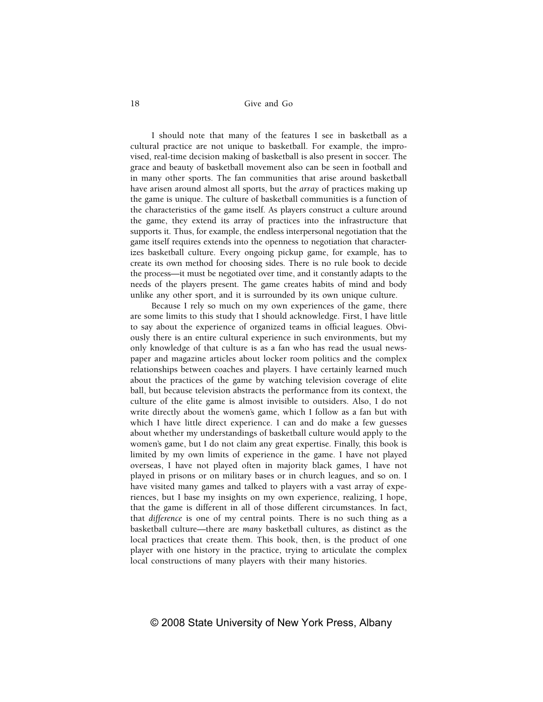# 18 Give and Go

I should note that many of the features I see in basketball as a cultural practice are not unique to basketball. For example, the improvised, real-time decision making of basketball is also present in soccer. The grace and beauty of basketball movement also can be seen in football and in many other sports. The fan communities that arise around basketball have arisen around almost all sports, but the *array* of practices making up the game is unique. The culture of basketball communities is a function of the characteristics of the game itself. As players construct a culture around the game, they extend its array of practices into the infrastructure that supports it. Thus, for example, the endless interpersonal negotiation that the game itself requires extends into the openness to negotiation that characterizes basketball culture. Every ongoing pickup game, for example, has to create its own method for choosing sides. There is no rule book to decide the process—it must be negotiated over time, and it constantly adapts to the needs of the players present. The game creates habits of mind and body unlike any other sport, and it is surrounded by its own unique culture.

Because I rely so much on my own experiences of the game, there are some limits to this study that I should acknowledge. First, I have little to say about the experience of organized teams in official leagues. Obviously there is an entire cultural experience in such environments, but my only knowledge of that culture is as a fan who has read the usual newspaper and magazine articles about locker room politics and the complex relationships between coaches and players. I have certainly learned much about the practices of the game by watching television coverage of elite ball, but because television abstracts the performance from its context, the culture of the elite game is almost invisible to outsiders. Also, I do not write directly about the women's game, which I follow as a fan but with which I have little direct experience. I can and do make a few guesses about whether my understandings of basketball culture would apply to the women's game, but I do not claim any great expertise. Finally, this book is limited by my own limits of experience in the game. I have not played overseas, I have not played often in majority black games, I have not played in prisons or on military bases or in church leagues, and so on. I have visited many games and talked to players with a vast array of experiences, but I base my insights on my own experience, realizing, I hope, that the game is different in all of those different circumstances. In fact, that *difference* is one of my central points. There is no such thing as a basketball culture—there are *many* basketball cultures, as distinct as the local practices that create them. This book, then, is the product of one player with one history in the practice, trying to articulate the complex local constructions of many players with their many histories.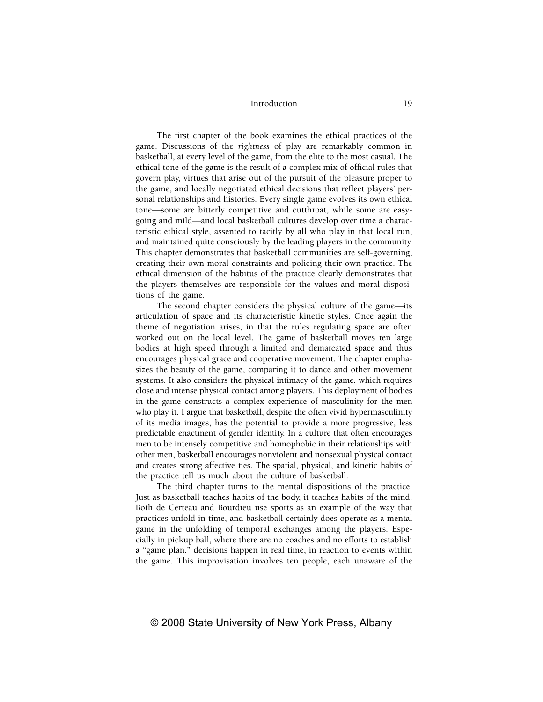The first chapter of the book examines the ethical practices of the game. Discussions of the *rightness* of play are remarkably common in basketball, at every level of the game, from the elite to the most casual. The ethical tone of the game is the result of a complex mix of official rules that govern play, virtues that arise out of the pursuit of the pleasure proper to the game, and locally negotiated ethical decisions that reflect players' personal relationships and histories. Every single game evolves its own ethical tone—some are bitterly competitive and cutthroat, while some are easygoing and mild—and local basketball cultures develop over time a characteristic ethical style, assented to tacitly by all who play in that local run, and maintained quite consciously by the leading players in the community. This chapter demonstrates that basketball communities are self-governing, creating their own moral constraints and policing their own practice. The ethical dimension of the habitus of the practice clearly demonstrates that the players themselves are responsible for the values and moral dispositions of the game.

The second chapter considers the physical culture of the game—its articulation of space and its characteristic kinetic styles. Once again the theme of negotiation arises, in that the rules regulating space are often worked out on the local level. The game of basketball moves ten large bodies at high speed through a limited and demarcated space and thus encourages physical grace and cooperative movement. The chapter emphasizes the beauty of the game, comparing it to dance and other movement systems. It also considers the physical intimacy of the game, which requires close and intense physical contact among players. This deployment of bodies in the game constructs a complex experience of masculinity for the men who play it. I argue that basketball, despite the often vivid hypermasculinity of its media images, has the potential to provide a more progressive, less predictable enactment of gender identity. In a culture that often encourages men to be intensely competitive and homophobic in their relationships with other men, basketball encourages nonviolent and nonsexual physical contact and creates strong affective ties. The spatial, physical, and kinetic habits of the practice tell us much about the culture of basketball.

The third chapter turns to the mental dispositions of the practice. Just as basketball teaches habits of the body, it teaches habits of the mind. Both de Certeau and Bourdieu use sports as an example of the way that practices unfold in time, and basketball certainly does operate as a mental game in the unfolding of temporal exchanges among the players. Especially in pickup ball, where there are no coaches and no efforts to establish a "game plan," decisions happen in real time, in reaction to events within the game. This improvisation involves ten people, each unaware of the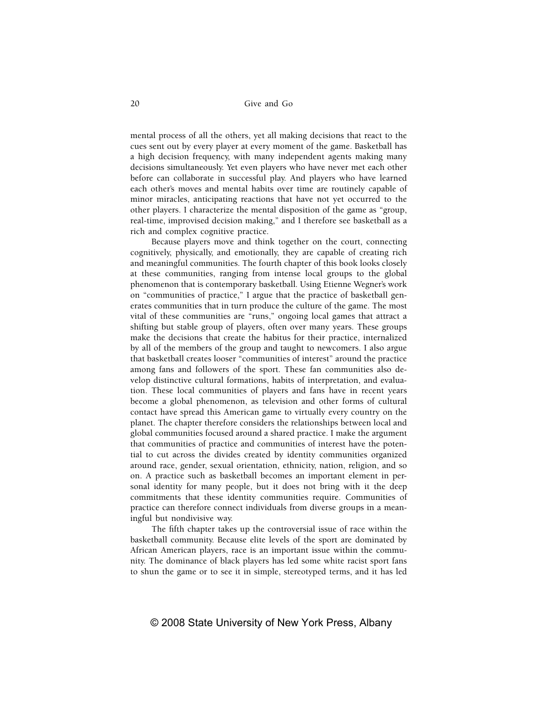mental process of all the others, yet all making decisions that react to the cues sent out by every player at every moment of the game. Basketball has a high decision frequency, with many independent agents making many decisions simultaneously. Yet even players who have never met each other before can collaborate in successful play. And players who have learned each other's moves and mental habits over time are routinely capable of minor miracles, anticipating reactions that have not yet occurred to the other players. I characterize the mental disposition of the game as "group, real-time, improvised decision making," and I therefore see basketball as a rich and complex cognitive practice.

Because players move and think together on the court, connecting cognitively, physically, and emotionally, they are capable of creating rich and meaningful communities. The fourth chapter of this book looks closely at these communities, ranging from intense local groups to the global phenomenon that is contemporary basketball. Using Etienne Wegner's work on "communities of practice," I argue that the practice of basketball generates communities that in turn produce the culture of the game. The most vital of these communities are "runs," ongoing local games that attract a shifting but stable group of players, often over many years. These groups make the decisions that create the habitus for their practice, internalized by all of the members of the group and taught to newcomers. I also argue that basketball creates looser "communities of interest" around the practice among fans and followers of the sport. These fan communities also develop distinctive cultural formations, habits of interpretation, and evaluation. These local communities of players and fans have in recent years become a global phenomenon, as television and other forms of cultural contact have spread this American game to virtually every country on the planet. The chapter therefore considers the relationships between local and global communities focused around a shared practice. I make the argument that communities of practice and communities of interest have the potential to cut across the divides created by identity communities organized around race, gender, sexual orientation, ethnicity, nation, religion, and so on. A practice such as basketball becomes an important element in personal identity for many people, but it does not bring with it the deep commitments that these identity communities require. Communities of practice can therefore connect individuals from diverse groups in a meaningful but nondivisive way.

The fifth chapter takes up the controversial issue of race within the basketball community. Because elite levels of the sport are dominated by African American players, race is an important issue within the community. The dominance of black players has led some white racist sport fans to shun the game or to see it in simple, stereotyped terms, and it has led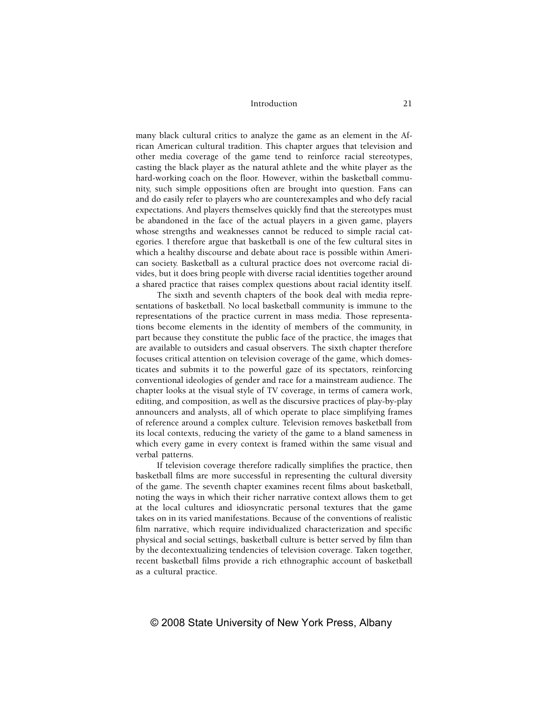many black cultural critics to analyze the game as an element in the African American cultural tradition. This chapter argues that television and other media coverage of the game tend to reinforce racial stereotypes, casting the black player as the natural athlete and the white player as the hard-working coach on the floor. However, within the basketball community, such simple oppositions often are brought into question. Fans can and do easily refer to players who are counterexamples and who defy racial expectations. And players themselves quickly find that the stereotypes must be abandoned in the face of the actual players in a given game, players whose strengths and weaknesses cannot be reduced to simple racial categories. I therefore argue that basketball is one of the few cultural sites in which a healthy discourse and debate about race is possible within American society. Basketball as a cultural practice does not overcome racial divides, but it does bring people with diverse racial identities together around a shared practice that raises complex questions about racial identity itself.

The sixth and seventh chapters of the book deal with media representations of basketball. No local basketball community is immune to the representations of the practice current in mass media. Those representations become elements in the identity of members of the community, in part because they constitute the public face of the practice, the images that are available to outsiders and casual observers. The sixth chapter therefore focuses critical attention on television coverage of the game, which domesticates and submits it to the powerful gaze of its spectators, reinforcing conventional ideologies of gender and race for a mainstream audience. The chapter looks at the visual style of TV coverage, in terms of camera work, editing, and composition, as well as the discursive practices of play-by-play announcers and analysts, all of which operate to place simplifying frames of reference around a complex culture. Television removes basketball from its local contexts, reducing the variety of the game to a bland sameness in which every game in every context is framed within the same visual and verbal patterns.

If television coverage therefore radically simplifies the practice, then basketball films are more successful in representing the cultural diversity of the game. The seventh chapter examines recent films about basketball, noting the ways in which their richer narrative context allows them to get at the local cultures and idiosyncratic personal textures that the game takes on in its varied manifestations. Because of the conventions of realistic film narrative, which require individualized characterization and specific physical and social settings, basketball culture is better served by film than by the decontextualizing tendencies of television coverage. Taken together, recent basketball films provide a rich ethnographic account of basketball as a cultural practice.